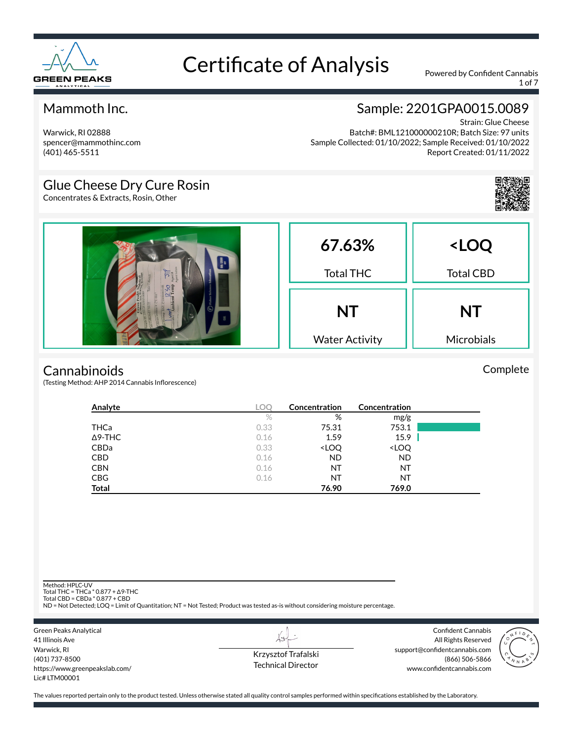

1 of 7

#### Mammoth Inc.

### Sample: 2201GPA0015.0089

Warwick, RI 02888 spencer@mammothinc.com (401) 465-5511

Strain: Glue Cheese Batch#: BML121000000210R; Batch Size: 97 units Sample Collected: 01/10/2022; Sample Received: 01/10/2022 Report Created: 01/11/2022

#### Glue Cheese Dry Cure Rosin

Concentrates & Extracts, Rosin, Other



Complete



#### **Cannabinoids**

(Testing Method: AHP 2014 Cannabis Inflorescence)

| Analyte        | <b>LOC</b> | Concentration                                            | Concentration                |  |
|----------------|------------|----------------------------------------------------------|------------------------------|--|
|                | $\%$       | %                                                        | mg/g                         |  |
| THCa           | 0.33       | 75.31                                                    | 753.1                        |  |
| $\Delta$ 9-THC | 0.16       | 1.59                                                     | 15.9                         |  |
| <b>CBDa</b>    | 0.33       | <loq< td=""><td><loq< td=""><td></td></loq<></td></loq<> | <loq< td=""><td></td></loq<> |  |
| <b>CBD</b>     | 0.16       | <b>ND</b>                                                | <b>ND</b>                    |  |
| <b>CBN</b>     | 0.16       | NT                                                       | NT                           |  |
| <b>CBG</b>     | 0.16       | NT                                                       | NT                           |  |
| <b>Total</b>   |            | 76.90                                                    | 769.0                        |  |

Method: HPLC-UV

Total THC = THCa \* 0.877 + ∆9-THC Total CBD = CBDa \* 0.877 + CBD

ND = Not Detected; LOQ = Limit of Quantitation; NT = Not Tested; Product was tested as-is without considering moisture percentage.



Krzysztof Trafalski Technical Director

LI

Confident Cannabis All Rights Reserved support@confidentcannabis.com (866) 506-5866 www.confidentcannabis.com

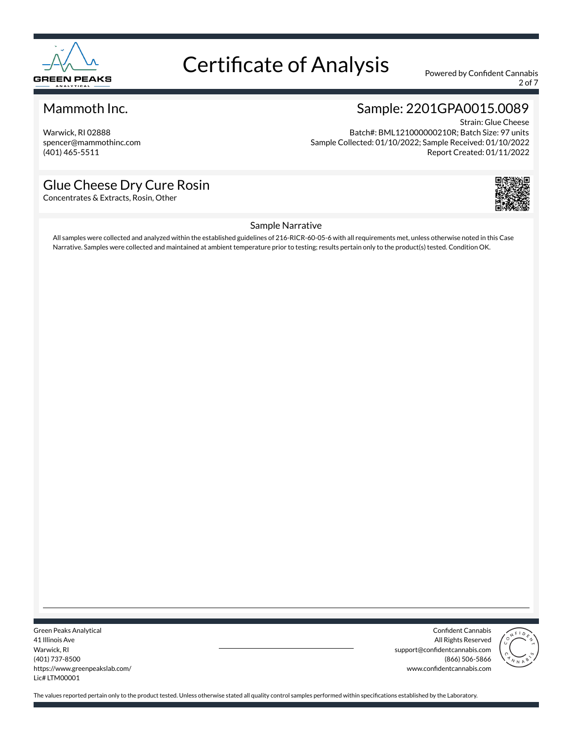

2 of 7

#### Mammoth Inc.

Warwick, RI 02888 spencer@mammothinc.com (401) 465-5511

### Sample: 2201GPA0015.0089

Strain: Glue Cheese Batch#: BML121000000210R; Batch Size: 97 units Sample Collected: 01/10/2022; Sample Received: 01/10/2022 Report Created: 01/11/2022

#### Glue Cheese Dry Cure Rosin

Concentrates & Extracts, Rosin, Other



#### Sample Narrative

All samples were collected and analyzed within the established guidelines of 216-RICR-60-05-6 with all requirements met, unless otherwise noted in this Case Narrative. Samples were collected and maintained at ambient temperature prior to testing; results pertain only to the product(s) tested. Condition OK.

Green Peaks Analytical 41 Illinois Ave Warwick, RI (401) 737-8500 https://www.greenpeakslab.com/ Lic# LTM00001

Confident Cannabis All Rights Reserved support@confidentcannabis.com (866) 506-5866 www.confidentcannabis.com

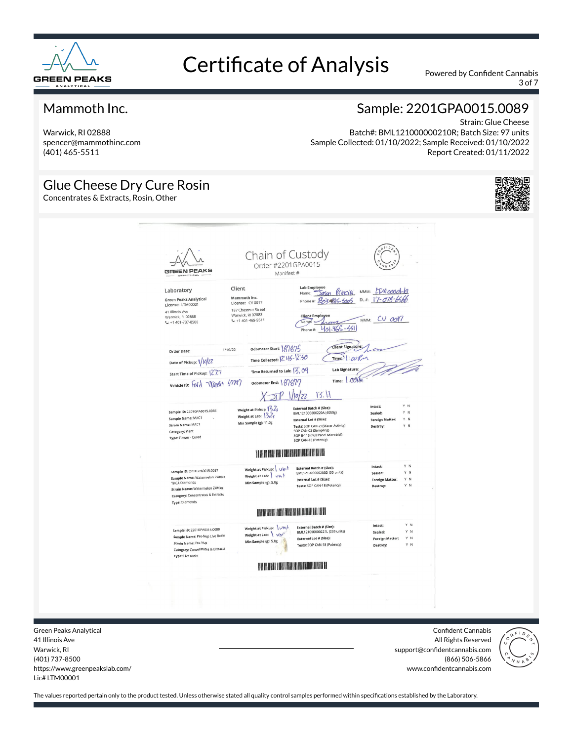

3 of 7

#### Mammoth Inc.

Warwick, RI 02888 spencer@mammothinc.com (401) 465-5511

#### Sample: 2201GPA0015.0089

Strain: Glue Cheese Batch#: BML121000000210R; Batch Size: 97 units Sample Collected: 01/10/2022; Sample Received: 01/10/2022 Report Created: 01/11/2022

#### Glue Cheese Dry Cure Rosin

Concentrates & Extracts, Rosin, Other





Green Peaks Analytical 41 Illinois Ave Warwick, RI (401) 737-8500 https://www.greenpeakslab.com/ Lic# LTM00001

Confident Cannabis All Rights Reserved support@confidentcannabis.com (866) 506-5866 www.confidentcannabis.com

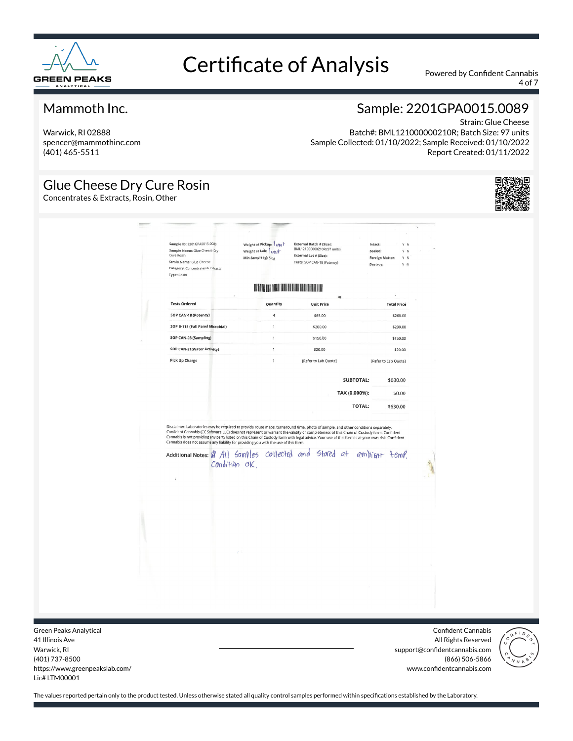

4 of 7

#### Mammoth Inc.

Warwick, RI 02888 spencer@mammothinc.com (401) 465-5511

### Sample: 2201GPA0015.0089

Strain: Glue Cheese Batch#: BML121000000210R; Batch Size: 97 units Sample Collected: 01/10/2022; Sample Received: 01/10/2022 Report Created: 01/11/2022

#### Glue Cheese Dry Cure Rosin

Concentrates & Extracts, Rosin, Other



| Cure Rosin<br>Type: Rosin | Sample ID: 2201GPA0015.0089<br>Sample Name: Glue Cheese Dry<br>Strain Name: Glue Cheese<br>Category: Concentrates & Extracts                                                                                                                                                                                       | Weight at Pickup: Unit<br>Weight at Lab: Unit<br>Min Sample (g): 5.0g |              | External Batch # (Size):<br>BML121000000210R (97 units)<br>External Lot # (Size):<br>Tests: SOP CAN-18 (Potency) |                  | Intact:<br>Y N<br>Sealed:<br>Y N<br><b>Foreign Matter:</b><br>Y N<br>Destroy:<br>Y N | ÷ |
|---------------------------|--------------------------------------------------------------------------------------------------------------------------------------------------------------------------------------------------------------------------------------------------------------------------------------------------------------------|-----------------------------------------------------------------------|--------------|------------------------------------------------------------------------------------------------------------------|------------------|--------------------------------------------------------------------------------------|---|
|                           |                                                                                                                                                                                                                                                                                                                    |                                                                       |              | <b>THE REAL PROPERTY OF PERSON</b>                                                                               |                  |                                                                                      |   |
|                           | <b>Tests Ordered</b>                                                                                                                                                                                                                                                                                               |                                                                       | Quantity     | <b>Unit Price</b>                                                                                                |                  | <b>Total Price</b>                                                                   |   |
|                           | SOP CAN-18 (Potency)                                                                                                                                                                                                                                                                                               |                                                                       | $\sqrt{4}$   | \$65.00                                                                                                          |                  | \$260.00                                                                             |   |
|                           | SOP B-118 (Full Panel Microbial)                                                                                                                                                                                                                                                                                   |                                                                       | $\mathbf{1}$ | \$200.00                                                                                                         |                  | \$200.00                                                                             |   |
|                           | SOP CAN-03 (Sampling)                                                                                                                                                                                                                                                                                              |                                                                       | $\mathbf{1}$ | \$150.00                                                                                                         |                  | \$150.00                                                                             |   |
|                           | SOP CAN-21(Water Activity)                                                                                                                                                                                                                                                                                         |                                                                       | $\mathbf{1}$ | \$20.00                                                                                                          |                  | \$20.00                                                                              |   |
|                           | <b>Pick Up Charge</b>                                                                                                                                                                                                                                                                                              |                                                                       | $\mathbf{1}$ | [Refer to Lab Quote]                                                                                             |                  | [Refer to Lab Quote]                                                                 |   |
|                           |                                                                                                                                                                                                                                                                                                                    |                                                                       |              |                                                                                                                  | <b>SUBTOTAL:</b> | \$630.00                                                                             |   |
|                           |                                                                                                                                                                                                                                                                                                                    |                                                                       |              |                                                                                                                  | TAX (0.000%):    | \$0.00                                                                               |   |
|                           |                                                                                                                                                                                                                                                                                                                    |                                                                       |              |                                                                                                                  | <b>TOTAL:</b>    | \$630.00                                                                             |   |
|                           | Cannabis is not providing any party listed on this Chain of Custody form with legal advice. Your use of this form is at your own risk. Confident<br>Cannabis does not assume any liability for providing you with the use of this form.<br>Additional Notes: \$ All Samples collected and stated at ampliont temp. | Condition OK.                                                         |              |                                                                                                                  |                  |                                                                                      |   |
|                           |                                                                                                                                                                                                                                                                                                                    |                                                                       |              |                                                                                                                  |                  |                                                                                      |   |

Green Peaks Analytical 41 Illinois Ave Warwick, RI (401) 737-8500 https://www.greenpeakslab.com/ Lic# LTM00001

Confident Cannabis All Rights Reserved support@confidentcannabis.com (866) 506-5866 www.confidentcannabis.com

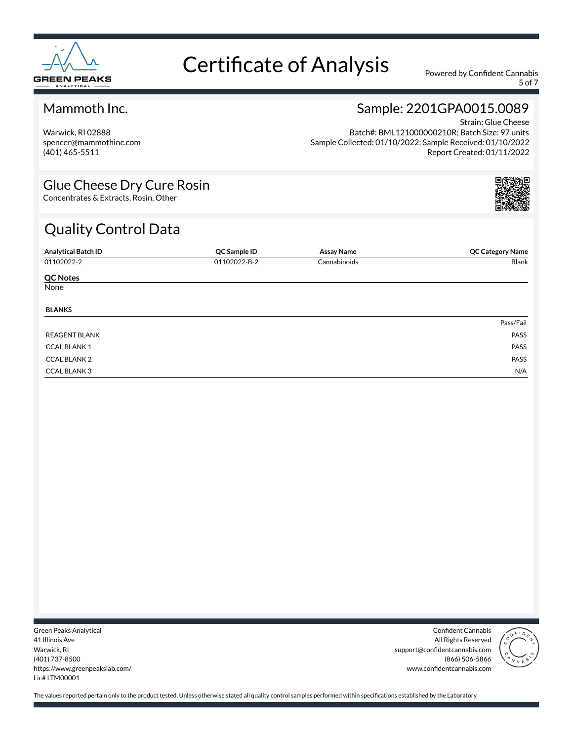

5 of 7

#### Mammoth Inc.

Warwick, RI 02888 spencer@mammothinc.com (401) 465-5511

### Sample: 2201GPA0015.0089 Strain: Glue Cheese

Batch#: BML121000000210R; Batch Size: 97 units Sample Collected: 01/10/2022; Sample Received: 01/10/2022 Report Created: 01/11/2022

#### Glue Cheese Dry Cure Rosin

Concentrates & Extracts, Rosin, Other

### Quality Control Data

| <b>Analytical Batch ID</b> | QC Sample ID | <b>Assay Name</b> | <b>QC Category Name</b> |
|----------------------------|--------------|-------------------|-------------------------|
| 01102022-2                 | 01102022-B-2 | Cannabinoids      | Blank                   |
| <b>QC Notes</b>            |              |                   |                         |
| None                       |              |                   |                         |
| <b>BLANKS</b>              |              |                   |                         |
|                            |              |                   | Pass/Fail               |
| <b>REAGENT BLANK</b>       |              |                   | PASS                    |
| <b>CCAL BLANK1</b>         |              |                   | PASS                    |
| <b>CCAL BLANK 2</b>        |              |                   | PASS                    |
| <b>CCAL BLANK3</b>         |              |                   | N/A                     |

Green Peaks Analytical 41 Illinois Ave Warwick, RI (401) 737-8500 https://www.greenpeakslab.com/ Lic# LTM00001

Confident Cannabis All Rights Reserved support@confidentcannabis.com (866) 506-5866 www.confidentcannabis.com

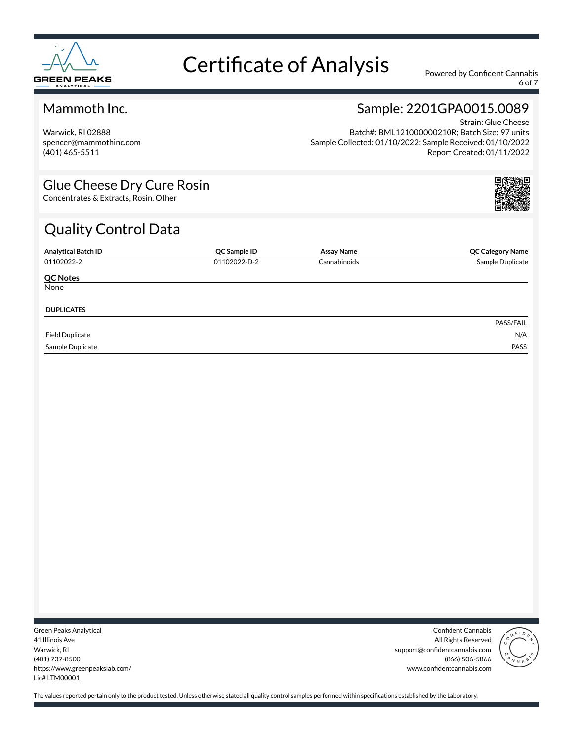

6 of 7

#### Mammoth Inc.

Warwick, RI 02888 spencer@mammothinc.com (401) 465-5511

### Sample: 2201GPA0015.0089 Strain: Glue Cheese

Batch#: BML121000000210R; Batch Size: 97 units Sample Collected: 01/10/2022; Sample Received: 01/10/2022 Report Created: 01/11/2022

#### Glue Cheese Dry Cure Rosin

Concentrates & Extracts, Rosin, Other

## Quality Control Data

| <b>Analytical Batch ID</b> | QC Sample ID | Assay Name   | <b>QC Category Name</b> |
|----------------------------|--------------|--------------|-------------------------|
| 01102022-2                 | 01102022-D-2 | Cannabinoids | Sample Duplicate        |
| <b>QC Notes</b>            |              |              |                         |
| None                       |              |              |                         |
| <b>DUPLICATES</b>          |              |              |                         |
|                            |              |              | PASS/FAIL               |
| <b>Field Duplicate</b>     |              |              | N/A                     |
| Sample Duplicate           |              |              | PASS                    |

Green Peaks Analytical 41 Illinois Ave Warwick, RI (401) 737-8500 https://www.greenpeakslab.com/ Lic# LTM00001

Confident Cannabis All Rights Reserved support@confidentcannabis.com (866) 506-5866 www.confidentcannabis.com